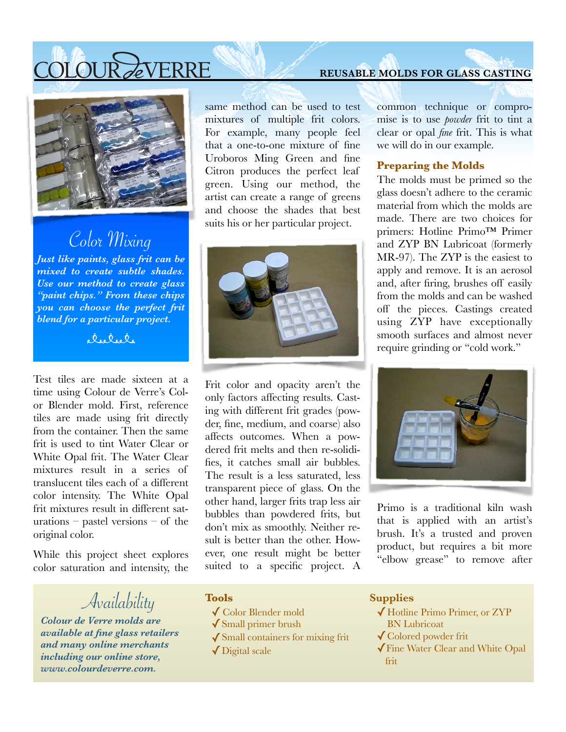# OLOUR AVERRE



# Color Mixing

*Just like paints, glass frit can be mixed to create subtle shades. Use our method to create glass "paint chips." From these chips you can choose the perfect frit blend for a particular project.* 

 $R_{16}Q_{16}Q_{16}$ 

Test tiles are made sixteen at a time using Colour de Verre's Color Blender mold. First, reference tiles are made using frit directly from the container. Then the same frit is used to tint Water Clear or White Opal frit. The Water Clear mixtures result in a series of translucent tiles each of a different color intensity. The White Opal frit mixtures result in different saturations – pastel versions – of the original color.

While this project sheet explores color saturation and intensity, the

Availability

*Colour de Verre molds are available at fine glass retailers and many online merchants including our online store, www.colourdeverre.com.* 

same method can be used to test mixtures of multiple frit colors. For example, many people feel that a one-to-one mixture of fine Uroboros Ming Green and fine Citron produces the perfect leaf green. Using our method, the artist can create a range of greens and choose the shades that best suits his or her particular project.



Frit color and opacity aren't the only factors affecting results. Casting with different frit grades (powder, fine, medium, and coarse) also affects outcomes. When a powdered frit melts and then re-solidifies, it catches small air bubbles. The result is a less saturated, less transparent piece of glass. On the other hand, larger frits trap less air bubbles than powdered frits, but don't mix as smoothly. Neither result is better than the other. However, one result might be better suited to a specific project. A

### common technique or compromise is to use *powder* frit to tint a clear or opal *fine* frit. This is what we will do in our example.

### **Preparing the Molds**

The molds must be primed so the glass doesn't adhere to the ceramic material from which the molds are made. There are two choices for primers: Hotline Primo™ Primer and ZYP BN Lubricoat (formerly MR-97). The ZYP is the easiest to apply and remove. It is an aerosol and, after firing, brushes off easily from the molds and can be washed off the pieces. Castings created using ZYP have exceptionally smooth surfaces and almost never require grinding or "cold work."



Primo is a traditional kiln wash that is applied with an artist's brush. It's a trusted and proven product, but requires a bit more "elbow grease" to remove after

#### **Tools**

- ✓Color Blender mold
- $\sqrt{\text{Small primer brush}}$
- ✓Small containers for mixing frit
- ✓Digital scale

#### **Supplies**

- ✓Hotline Primo Primer, or ZYP BN Lubricoat
- ✓Colored powder frit
- ✓Fine Water Clear and White Opal frit

### **REUSABLE MOLDS FOR GLASS CASTING**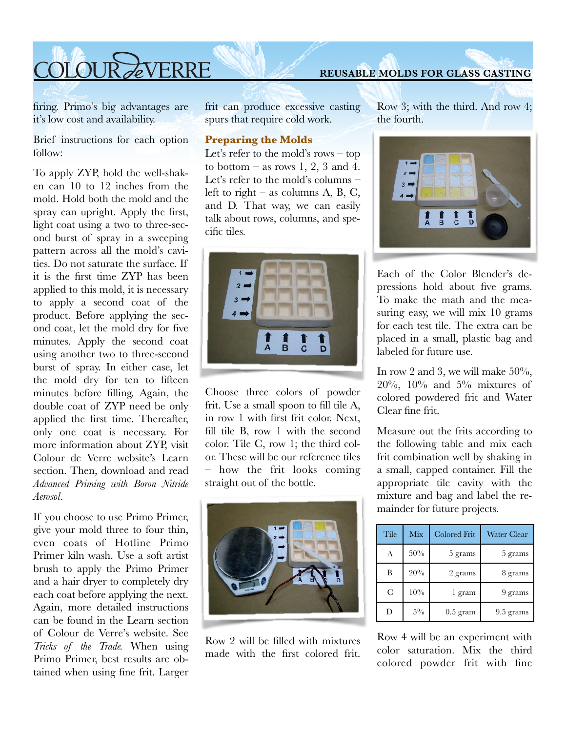# COLOUR AVERRE

firing. Primo's big advantages are it's low cost and availability.

Brief instructions for each option follow:

To apply ZYP, hold the well-shaken can 10 to 12 inches from the mold. Hold both the mold and the spray can upright. Apply the first, light coat using a two to three-second burst of spray in a sweeping pattern across all the mold's cavities. Do not saturate the surface. If it is the first time ZYP has been applied to this mold, it is necessary to apply a second coat of the product. Before applying the second coat, let the mold dry for five minutes. Apply the second coat using another two to three-second burst of spray. In either case, let the mold dry for ten to fifteen minutes before filling. Again, the double coat of ZYP need be only applied the first time. Thereafter, only one coat is necessary. For more information about ZYP, visit Colour de Verre website's Learn section. Then, download and read *Advanced Priming with Boron Nitride Aerosol*.

If you choose to use Primo Primer, give your mold three to four thin, even coats of Hotline Primo Primer kiln wash. Use a soft artist brush to apply the Primo Primer and a hair dryer to completely dry each coat before applying the next. Again, more detailed instructions can be found in the Learn section of Colour de Verre's website. See *Tricks of the Trade.* When using Primo Primer, best results are obtained when using fine frit. Larger frit can produce excessive casting spurs that require cold work.

### **Preparing the Molds**

Let's refer to the mold's rows – top to bottom – as rows 1, 2, 3 and 4. Let's refer to the mold's columns – left to right – as columns A, B, C, and D. That way, we can easily talk about rows, columns, and specific tiles.



Choose three colors of powder frit. Use a small spoon to fill tile A, in row 1 with first frit color. Next, fill tile B, row 1 with the second color. Tile C, row 1; the third color. These will be our reference tiles – how the frit looks coming straight out of the bottle.



Row 2 will be filled with mixtures made with the first colored frit. Row 3; with the third. And row 4; the fourth.



Each of the Color Blender's depressions hold about five grams. To make the math and the measuring easy, we will mix 10 grams for each test tile. The extra can be placed in a small, plastic bag and labeled for future use.

In row 2 and 3, we will make  $50\%$ ,  $20\%, 10\%$  and  $5\%$  mixtures of colored powdered frit and Water Clear fine frit.

Measure out the frits according to the following table and mix each frit combination well by shaking in a small, capped container. Fill the appropriate tile cavity with the mixture and bag and label the remainder for future projects.

| Tile | Mix    | <b>Colored Frit</b> | <b>Water Clear</b> |
|------|--------|---------------------|--------------------|
| A    | 50%    | 5 grams             | 5 grams            |
| B    | 20%    | 2 grams             | 8 grams            |
| C    | $10\%$ | l gram              | 9 grams            |
| D    | $5\%$  | $0.5$ gram          | 9.5 grams          |

Row 4 will be an experiment with color saturation. Mix the third colored powder frit with fine

### **REUSABLE MOLDS FOR GLASS CASTING**